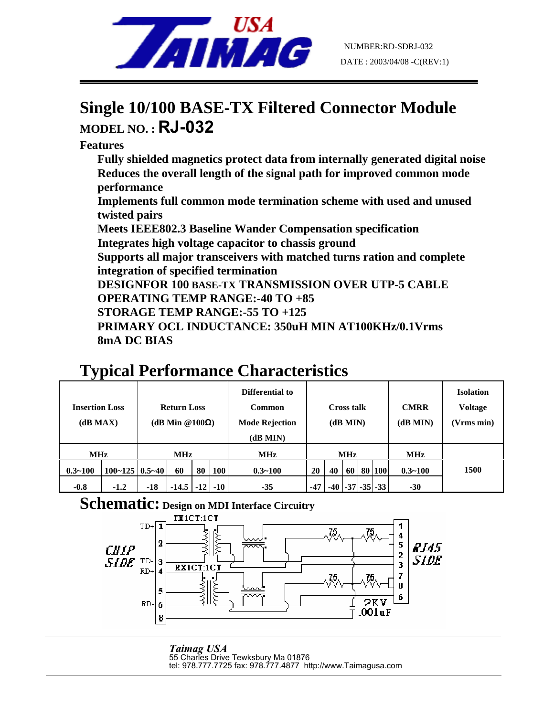

## **Single 10/100 BASE-TX Filtered Connector Module MODEL NO. : RJ-032**

**Features** 

**Fully shielded magnetics protect data from internally generated digital noise Reduces the overall length of the signal path for improved common mode performance** 

**Implements full common mode termination scheme with used and unused twisted pairs** 

**Meets IEEE802.3 Baseline Wander Compensation specification** 

**Integrates high voltage capacitor to chassis ground** 

**Supports all major transceivers with matched turns ration and complete integration of specified termination** 

**DESIGNFOR 100 BASE-TX TRANSMISSION OVER UTP-5 CABLE** 

**OPERATING TEMP RANGE:-40 TO +85** 

**STORAGE TEMP RANGE:-55 TO +125** 

**PRIMARY OCL INDUCTANCE: 350uH MIN AT100KHz/0.1Vrms 8mA DC BIAS**

## **Typical Performance Characteristics**

| <b>Insertion Loss</b><br>(dB MAX) |                           | <b>Return Loss</b><br>(dB Min @100 $\Omega$ ) |         |       |       | Differential to<br><b>Common</b><br><b>Mode Rejection</b><br>(dB MIN) | Cross talk<br>(dB MIN) |       |    |  | <b>CMRR</b><br>(dB MIN) | <b>Isolation</b><br><b>Voltage</b><br>(Vrms min) |      |
|-----------------------------------|---------------------------|-----------------------------------------------|---------|-------|-------|-----------------------------------------------------------------------|------------------------|-------|----|--|-------------------------|--------------------------------------------------|------|
| <b>MHz</b>                        |                           | <b>MHz</b>                                    |         |       |       | <b>MHz</b>                                                            | <b>MHz</b>             |       |    |  |                         | MHz                                              |      |
| $0.3 - 100$                       | $100 - 125 \mid 0.5 - 40$ |                                               | 60      | 80    | 100   | $0.3 - 100$                                                           | 20                     | 40    | 60 |  | 80 100                  | $0.3 - 100$                                      | 1500 |
| $-0.8$                            | $-1.2$                    | $-18$                                         | $-14.5$ | $-12$ | $-10$ | $-35$                                                                 | $-47$                  | $-40$ |    |  | $-37$ $-35$ $-33$       | $-30$                                            |      |

## **Schematic: Design on MDI Interface Circuitry**



*Taimag USA* 55 Charles Drive Tewksbury Ma 01876 tel: 978.777.7725 fax: 978.777.4877 http://www.Taimagusa.com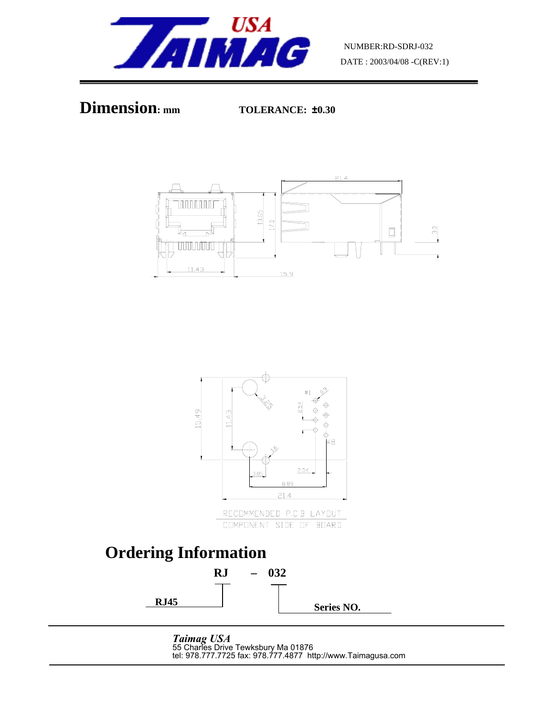







*Taimag USA* 55 Charles Drive Tewksbury Ma 01876 tel: 978.777.7725 fax: 978.777.4877 http://www.Taimagusa.com